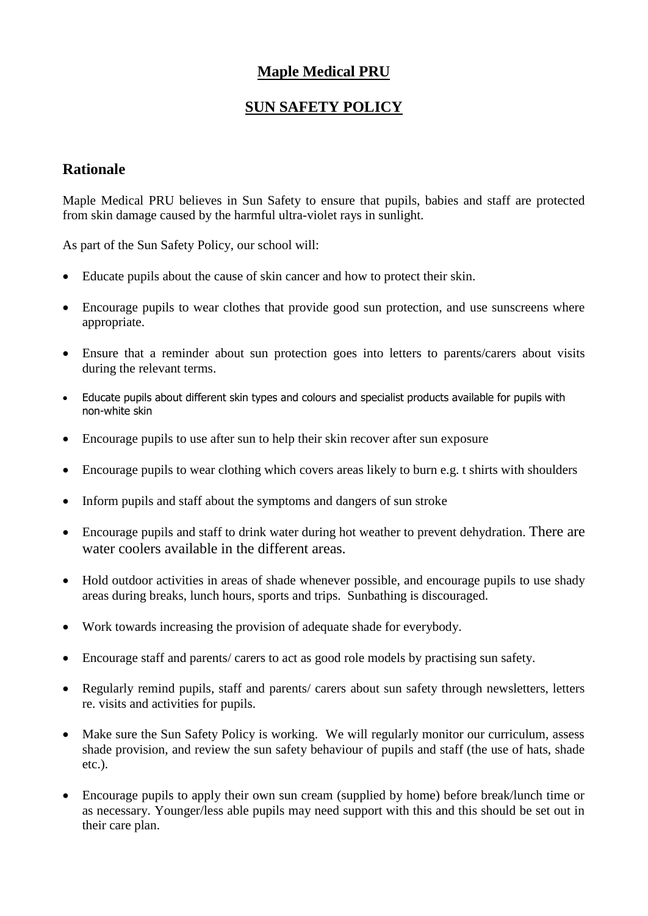## **Maple Medical PRU**

## **SUN SAFETY POLICY**

## **Rationale**

Maple Medical PRU believes in Sun Safety to ensure that pupils, babies and staff are protected from skin damage caused by the harmful ultra-violet rays in sunlight.

As part of the Sun Safety Policy, our school will:

- Educate pupils about the cause of skin cancer and how to protect their skin.
- Encourage pupils to wear clothes that provide good sun protection, and use sunscreens where appropriate.
- Ensure that a reminder about sun protection goes into letters to parents/carers about visits during the relevant terms.
- Educate pupils about different skin types and colours and specialist products available for pupils with non-white skin
- Encourage pupils to use after sun to help their skin recover after sun exposure
- Encourage pupils to wear clothing which covers areas likely to burn e.g. t shirts with shoulders
- Inform pupils and staff about the symptoms and dangers of sun stroke
- Encourage pupils and staff to drink water during hot weather to prevent dehydration. There are water coolers available in the different areas.
- Hold outdoor activities in areas of shade whenever possible, and encourage pupils to use shady areas during breaks, lunch hours, sports and trips. Sunbathing is discouraged.
- Work towards increasing the provision of adequate shade for everybody.
- Encourage staff and parents/ carers to act as good role models by practising sun safety.
- Regularly remind pupils, staff and parents/ carers about sun safety through newsletters, letters re. visits and activities for pupils.
- Make sure the Sun Safety Policy is working. We will regularly monitor our curriculum, assess shade provision, and review the sun safety behaviour of pupils and staff (the use of hats, shade etc.).
- Encourage pupils to apply their own sun cream (supplied by home) before break/lunch time or as necessary. Younger/less able pupils may need support with this and this should be set out in their care plan.